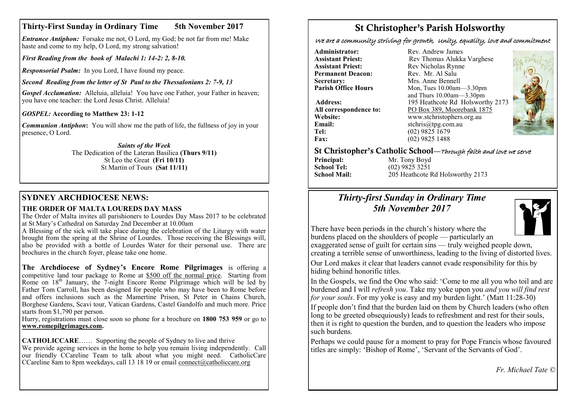## **Thirty-First Sunday in Ordinary Time 5th November 2017**

*Entrance Antiphon:* Forsake me not, O Lord, my God; be not far from me! Make haste and come to my help, O Lord, my strong salvation!

*First Reading from the book of Malachi 1: 14-2: 2, 8-10.*

*Responsorial Psalm:* In you Lord, I have found my peace.

*Second Reading from the letter of St Paul to the Thessalonians 2: 7-9, 13*

*Gospel Acclamation:* Alleluia, alleluia! You have one Father, your Father in heaven; you have one teacher: the Lord Jesus Christ. Alleluia!

## *GOSPEL:* **According to Matthew 23: 1-12**

*Communion Antiphon*: You will show me the path of life, the fullness of joy in your presence, O Lord.

> *Saints of the Week* The Dedication of the Lateran Basilica **(Thurs 9/11)**  St Leo the Great **(Fri 10/11)**  St Martin of Tours **(Sat 11/11)**

## **SYDNEY ARCHDIOCESE NEWS:**

## **THE ORDER OF MALTA LOUREDS DAY MASS**

The Order of Malta invites all parishioners to Lourdes Day Mass 2017 to be celebrated at St Mary's Cathedral on Saturday 2nd December at 10.00am

A Blessing of the sick will take place during the celebration of the Liturgy with water brought from the spring at the Shrine of Lourdes. Those receiving the Blessings will, also be provided with a bottle of Lourdes Water for their personal use. There are brochures in the church foyer, please take one home.

**The Archdiocese of Sydney's Encore Rome Pilgrimages** is offering a competitive land tour package to Rome at \$500 off the normal price. Starting from Rome on  $18<sup>th</sup>$  January, the 7-night Encore Rome Pilgrimage which will be led by Father Tom Carroll, has been designed for people who may have been to Rome before and offers inclusions such as the Mamertine Prison, St Peter in Chains Church, Borghese Gardens, Scavi tour, Vatican Gardens, Castel Gandolfo and much more. Price starts from \$1,790 per person.

Hurry, registrations must close soon so phone for a brochure on **1800 753 959** or go to **[www.romepilgrimages.com.](http://www.romepilgrimages.com)**

**CATHOLICCARE**…… Supporting the people of Sydney to live and thrive We provide ageing services in the home to help you remain living independently. Call our friendly CCareline Team to talk about what you might need. CatholicCare CCareline 8am to 8pm weekdays, call 13 18 19 or email [connect@catholiccare.org](mailto:connect@catholiccare.org)

# St Christopher's Parish Holsworthy

We are a community striving for growth, Unity, equality, love and commitment

**Administrator:** Rev. Andrew James<br> **Assistant Priest:** Rev Thomas Alukka **Permanent Deacon:**<br>Secretary: **Secretary:** Mrs. Anne Bennell<br> **Parish Office Hours** Mon. Tues 10.00am-

**Email:** stchris@tpg.com.au<br> **Tel:** (02) 9825 1679 **Fax:** (02) 9825 1488

**Assistant Priest: Rev Thomas Alukka Varghese**<br>**Assistant Priest: Rev Nicholas Rynne** Rev Nicholas Rynne<br>Rev Mr Al Salu **Parish Office Hours** Mon, Tues 10.00am—3.30pm and Thurs 10.00am—3.30pm **Address:** 195 Heathcote Rd Holsworthy 2173 **All correspondence to:** PO Box 389, Moorebank 1875<br>Website: www.stchristophers.org.au **Website:** www.stchristophers.org.au<br> **Email:** stchris@tng.com au **Tel:** (02) 9825 1679



### St Christopher's Catholic School—Through faith and love we serve

**Principal:** Mr. Tony Boyd<br> **School Tel:** (02) 9825 3251 **School Tel:** (02) 9825 3251<br>**School Mail:** 205 Heathcote I **School Mail:** 205 Heathcote Rd Holsworthy 2173

## *Thirty-first Sunday in Ordinary Time 5th November 2017*



There have been periods in the church's history where the burdens placed on the shoulders of people — particularly an

exaggerated sense of guilt for certain sins — truly weighed people down, creating a terrible sense of unworthiness, leading to the living of distorted lives. Our Lord makes it clear that leaders cannot evade responsibility for this by hiding behind honorific titles.

In the Gospels, we find the One who said: 'Come to me all you who toil and are burdened and I will *refresh you*. Take my yoke upon you *and you will find rest for your souls*. For my yoke is easy and my burden light.' (Matt 11:28-30)

If people don't find that the burden laid on them by Church leaders (who often long to be greeted obsequiously) leads to refreshment and rest for their souls, then it is right to question the burden, and to question the leaders who impose such burdens.

Perhaps we could pause for a moment to pray for Pope Francis whose favoured titles are simply: 'Bishop of Rome', 'Servant of the Servants of God'.

*Fr. Michael Tate ©*